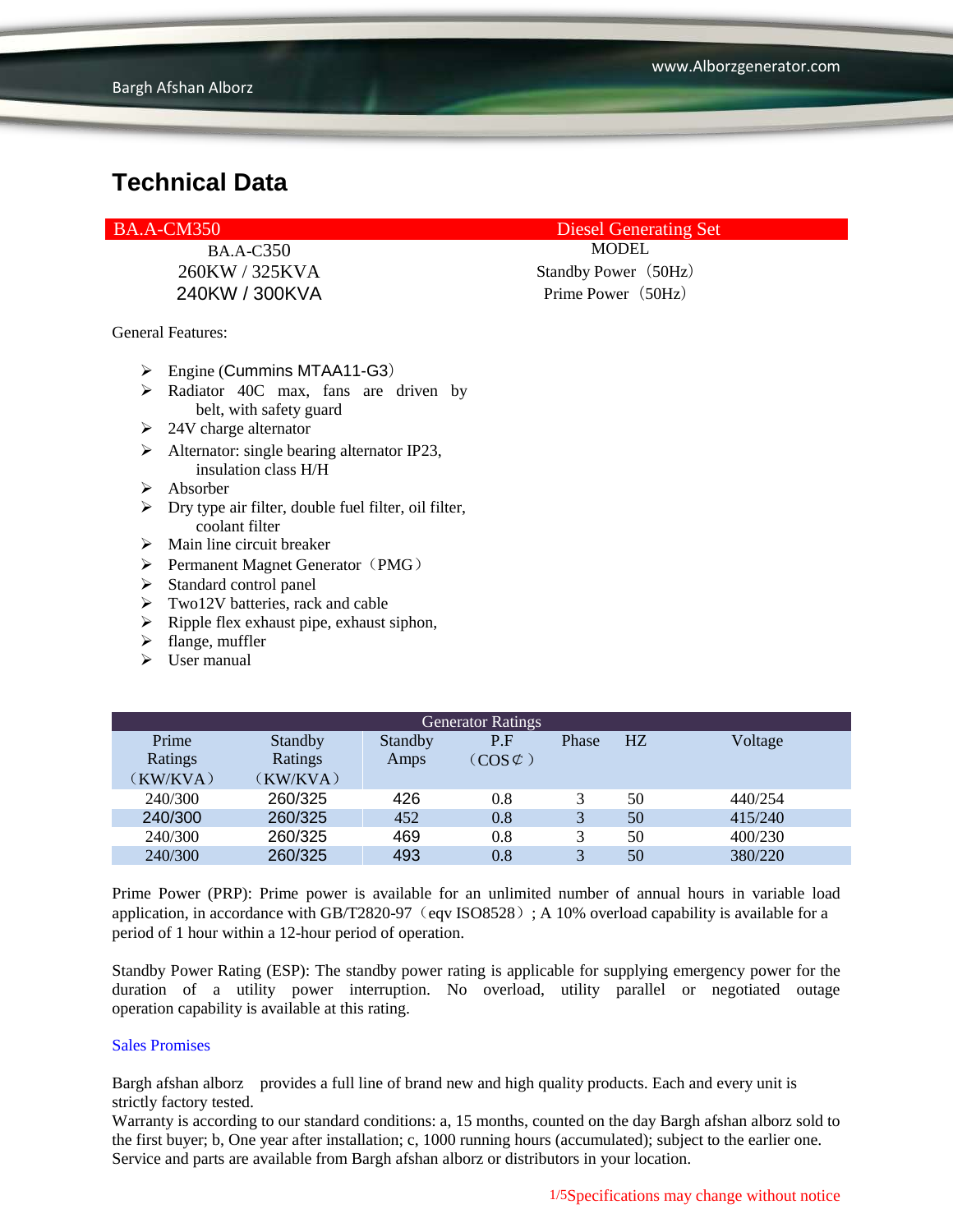General Features:

- $\triangleright$  Engine (Cummins MTAA11-G3)
- $\triangleright$  Radiator 40C max, fans are driven by belt, with safety guard
- $\geq$  24V charge alternator
- $\triangleright$  Alternator: single bearing alternator IP23, insulation class H/H
- $\triangleright$  Absorber
- $\triangleright$  Dry type air filter, double fuel filter, oil filter, coolant filter
- $\triangleright$  Main line circuit breaker
- $\triangleright$  Permanent Magnet Generator (PMG)
- $\triangleright$  Standard control panel
- $\triangleright$  Two12V batteries, rack and cable
- $\triangleright$  Ripple flex exhaust pipe, exhaust siphon,
- $\blacktriangleright$  flange, muffler
- $\triangleright$  User manual

| <b>Generator Ratings</b> |                |                |                     |                         |    |         |
|--------------------------|----------------|----------------|---------------------|-------------------------|----|---------|
| Prime                    | <b>Standby</b> | <b>Standby</b> | P.F                 | <b>Phase</b>            | HZ | Voltage |
| Ratings                  | Ratings        | Amps           | $(COS \mathcal{C})$ |                         |    |         |
| (KW/KVA)                 | (KW/KVA)       |                |                     |                         |    |         |
| 240/300                  | 260/325        | 426            | 0.8                 |                         | 50 | 440/254 |
| 240/300                  | 260/325        | 452            | 0.8                 | 3                       | 50 | 415/240 |
| 240/300                  | 260/325        | 469            | 0.8                 | 3                       | 50 | 400/230 |
| 240/300                  | 260/325        | 493            | 0.8                 | $\overline{\mathbf{A}}$ | 50 | 380/220 |

Prime Power (PRP): Prime power is available for an unlimited number of annual hours in variable load application, in accordance with GB/T2820-97 (eqv ISO8528); A 10% overload capability is available for a period of 1 hour within a 12-hour period of operation.

Standby Power Rating (ESP): The standby power rating is applicable for supplying emergency power for the duration of a utility power interruption. No overload, utility parallel or negotiated outage operation capability is available at this rating.

#### Sales Promises

Bargh afshan alborz provides a full line of brand new and high quality products. Each and every unit is strictly factory tested.

Warranty is according to our standard conditions: a, 15 months, counted on the day Bargh afshan alborz sold to the first buyer; b, One year after installation; c, 1000 running hours (accumulated); subject to the earlier one. Service and parts are available from Bargh afshan alborz or distributors in your location.

BA.A-CM350 Diesel Generating Set

BA.A-C350 MODEL

260KW / 325KVA Standby Power (50Hz) 240KW / 300KVA Prime Power (50Hz)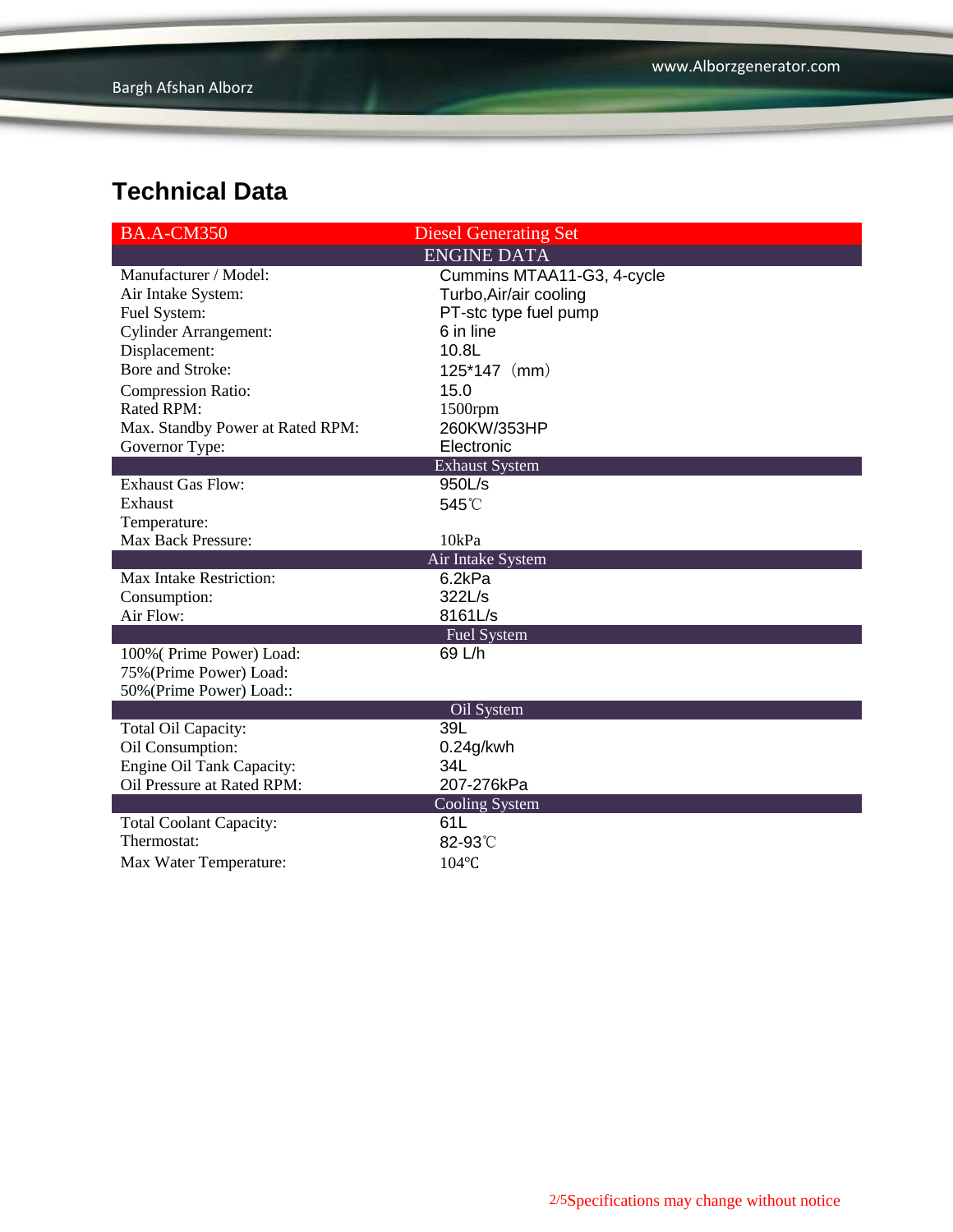| <b>BA.A-CM350</b>                | <b>Diesel Generating Set</b> |
|----------------------------------|------------------------------|
|                                  | <b>ENGINE DATA</b>           |
| Manufacturer / Model:            | Cummins MTAA11-G3, 4-cycle   |
| Air Intake System:               | Turbo, Air/air cooling       |
| Fuel System:                     | PT-stc type fuel pump        |
| <b>Cylinder Arrangement:</b>     | 6 in line                    |
| Displacement:                    | 10.8L                        |
| Bore and Stroke:                 | $125*147$ (mm)               |
| <b>Compression Ratio:</b>        | 15.0                         |
| <b>Rated RPM:</b>                | 1500rpm                      |
| Max. Standby Power at Rated RPM: | 260KW/353HP                  |
| Governor Type:                   | Electronic                   |
|                                  | <b>Exhaust System</b>        |
| <b>Exhaust Gas Flow:</b>         | 950L/s                       |
| Exhaust                          | 545°C                        |
| Temperature:                     |                              |
| <b>Max Back Pressure:</b>        | 10kPa                        |
|                                  | Air Intake System            |
| Max Intake Restriction:          | 6.2kPa                       |
| Consumption:                     | 322L/s                       |
| Air Flow:                        | 8161L/s                      |
|                                  | <b>Fuel System</b>           |
| 100% (Prime Power) Load:         | 69 L/h                       |
| 75% (Prime Power) Load:          |                              |
| 50% (Prime Power) Load::         |                              |
| Total Oil Capacity:              | Oil System<br>39L            |
| Oil Consumption:                 | $0.24$ g/kwh                 |
| Engine Oil Tank Capacity:        | 34L                          |
| Oil Pressure at Rated RPM:       | 207-276kPa                   |
|                                  | <b>Cooling System</b>        |
| <b>Total Coolant Capacity:</b>   | 61L                          |
| Thermostat:                      | 82-93°C                      |
| Max Water Temperature:           | 104°C                        |
|                                  |                              |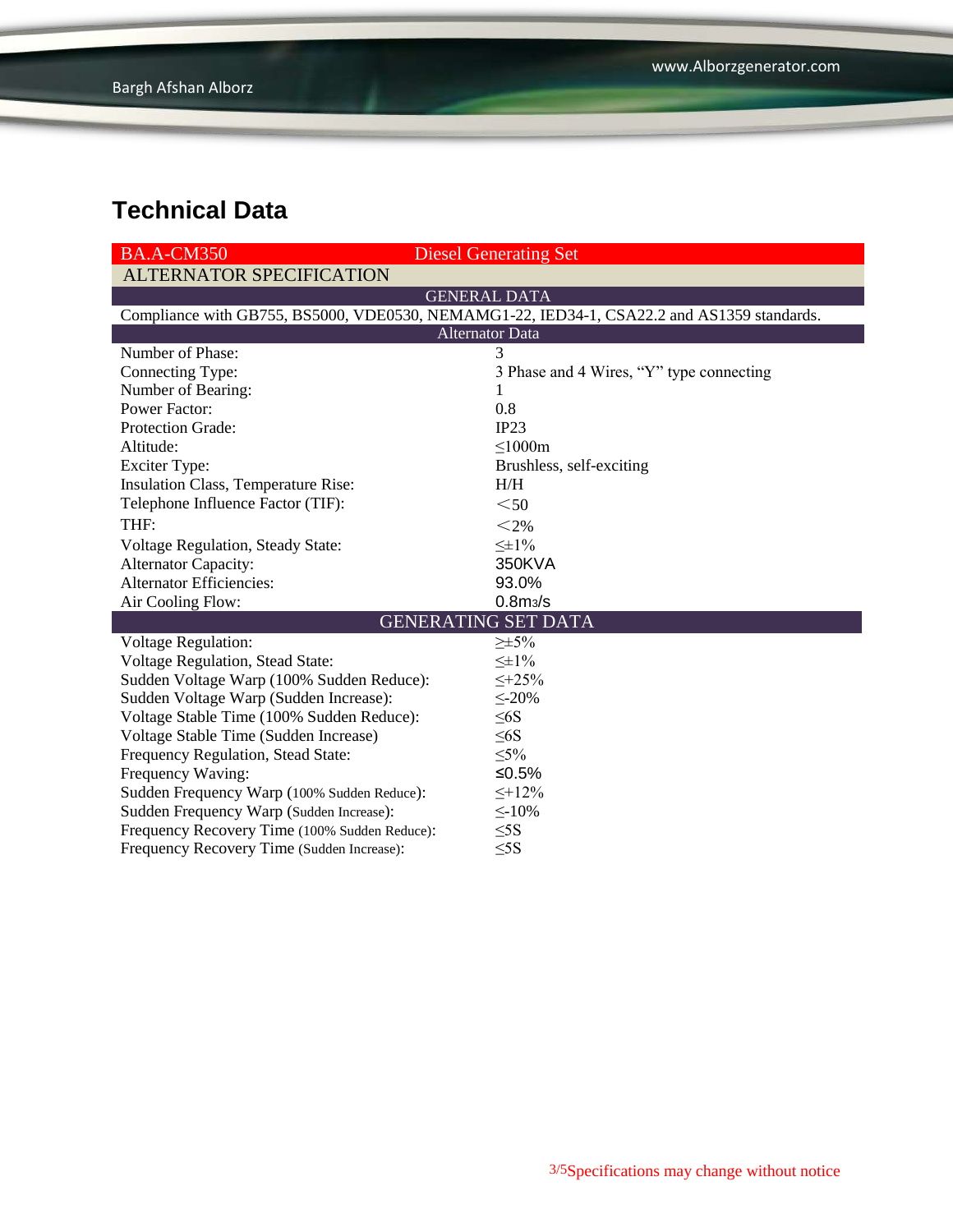| <b>BA.A-CM350</b>                                                                          | <b>Diesel Generating Set</b>             |  |  |  |  |
|--------------------------------------------------------------------------------------------|------------------------------------------|--|--|--|--|
| <b>ALTERNATOR SPECIFICATION</b>                                                            |                                          |  |  |  |  |
|                                                                                            | <b>GENERAL DATA</b>                      |  |  |  |  |
| Compliance with GB755, BS5000, VDE0530, NEMAMG1-22, IED34-1, CSA22.2 and AS1359 standards. |                                          |  |  |  |  |
| <b>Alternator Data</b>                                                                     |                                          |  |  |  |  |
| Number of Phase:                                                                           | 3                                        |  |  |  |  |
| Connecting Type:                                                                           | 3 Phase and 4 Wires, "Y" type connecting |  |  |  |  |
| Number of Bearing:                                                                         | 1                                        |  |  |  |  |
| <b>Power Factor:</b>                                                                       | 0.8                                      |  |  |  |  |
| Protection Grade:                                                                          | IP23                                     |  |  |  |  |
| Altitude:                                                                                  | $\leq 1000m$                             |  |  |  |  |
| <b>Exciter Type:</b>                                                                       | Brushless, self-exciting                 |  |  |  |  |
| Insulation Class, Temperature Rise:                                                        | H/H                                      |  |  |  |  |
| Telephone Influence Factor (TIF):                                                          | $50$                                     |  |  |  |  |
| THF:                                                                                       | $<$ 2%                                   |  |  |  |  |
| Voltage Regulation, Steady State:                                                          | $\leq \pm 1\%$                           |  |  |  |  |
| <b>Alternator Capacity:</b>                                                                | 350KVA                                   |  |  |  |  |
| <b>Alternator Efficiencies:</b>                                                            | 93.0%                                    |  |  |  |  |
| Air Cooling Flow:                                                                          | 0.8 <sub>m3</sub> /s                     |  |  |  |  |
|                                                                                            | <b>GENERATING SET DATA</b>               |  |  |  |  |
| <b>Voltage Regulation:</b>                                                                 | $\geq \pm 5\%$                           |  |  |  |  |
| Voltage Regulation, Stead State:                                                           | $\leq \pm 1\%$                           |  |  |  |  |
| Sudden Voltage Warp (100% Sudden Reduce):                                                  | $\leq +25\%$                             |  |  |  |  |
| Sudden Voltage Warp (Sudden Increase):                                                     | $\leq$ -20%                              |  |  |  |  |
| Voltage Stable Time (100% Sudden Reduce):                                                  | $\leq 6S$                                |  |  |  |  |
| Voltage Stable Time (Sudden Increase)                                                      | $\leq 6S$                                |  |  |  |  |
| Frequency Regulation, Stead State:                                                         | $\leq 5\%$                               |  |  |  |  |
| Frequency Waving:                                                                          | ≤0.5%                                    |  |  |  |  |
| Sudden Frequency Warp (100% Sudden Reduce):                                                | $\leq +12\%$                             |  |  |  |  |
| Sudden Frequency Warp (Sudden Increase):                                                   | $\leq$ -10%                              |  |  |  |  |
| Frequency Recovery Time (100% Sudden Reduce):                                              | $\leq$ 5S                                |  |  |  |  |
| Frequency Recovery Time (Sudden Increase):                                                 | $\leq$ 5S                                |  |  |  |  |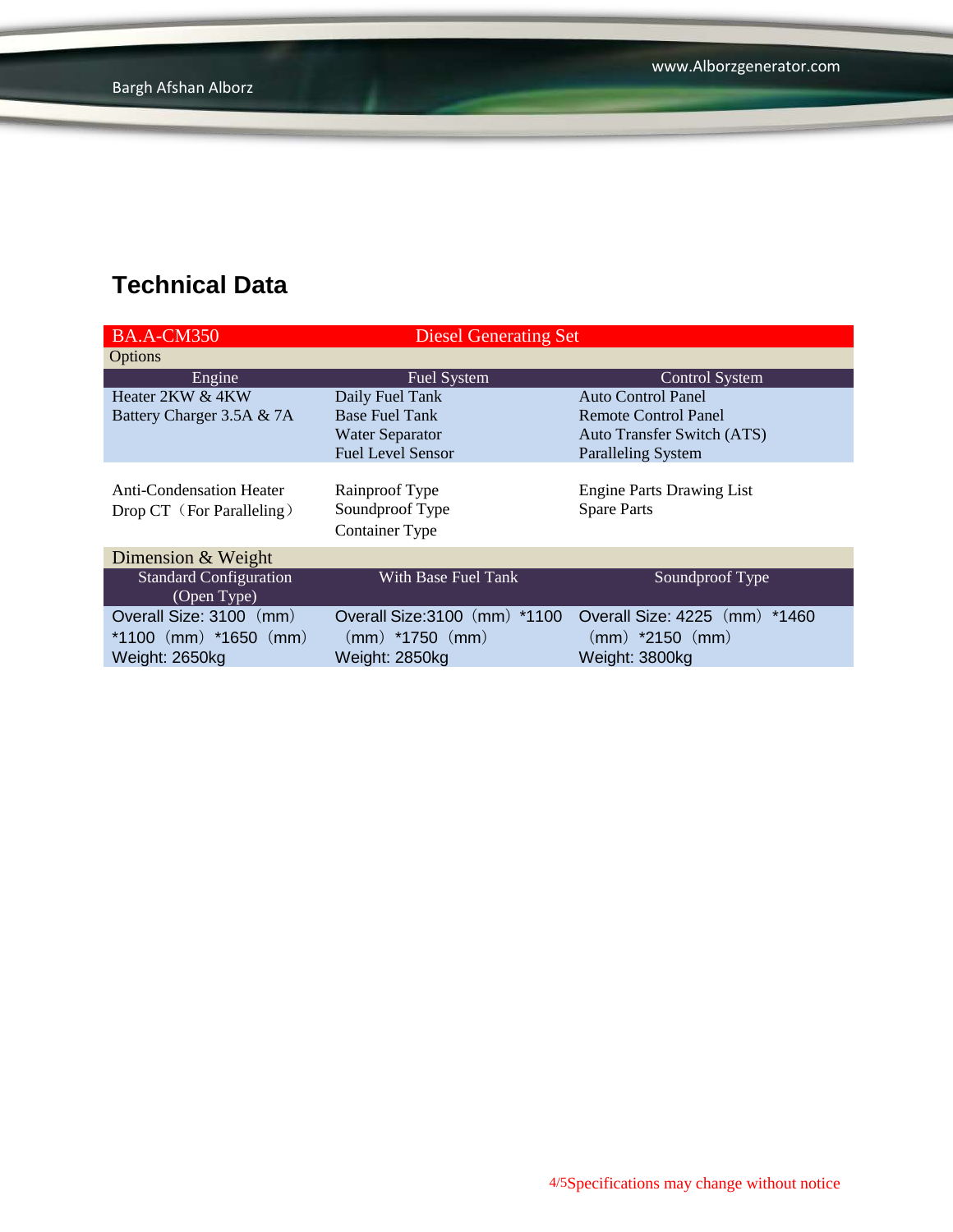| <b>BA.A-CM350</b>                            | <b>Diesel Generating Set</b>  |                                   |  |
|----------------------------------------------|-------------------------------|-----------------------------------|--|
| Options                                      |                               |                                   |  |
| Engine                                       | Fuel System                   | <b>Control System</b>             |  |
| Heater 2KW & 4KW                             | Daily Fuel Tank               | <b>Auto Control Panel</b>         |  |
| Battery Charger 3.5A & 7A                    | <b>Base Fuel Tank</b>         | Remote Control Panel              |  |
|                                              | <b>Water Separator</b>        | <b>Auto Transfer Switch (ATS)</b> |  |
|                                              | <b>Fuel Level Sensor</b>      | <b>Paralleling System</b>         |  |
| <b>Anti-Condensation Heater</b>              | Rainproof Type                | <b>Engine Parts Drawing List</b>  |  |
|                                              | Soundproof Type               | <b>Spare Parts</b>                |  |
| Drop CT (For Paralleling)                    | Container Type                |                                   |  |
| Dimension & Weight                           |                               |                                   |  |
| <b>Standard Configuration</b><br>(Open Type) | With Base Fuel Tank           | Soundproof Type                   |  |
| Overall Size: 3100 (mm)                      | Overall Size: 3100 (mm) *1100 | Overall Size: 4225 (mm) *1460     |  |
| *1100 $(mm)$ *1650 $(mm)$                    | $(mm)$ *1750 $(mm)$           | $(mm)$ *2150 $(mm)$               |  |
| Weight: 2650kg                               | Weight: 2850kg                | Weight: 3800kg                    |  |